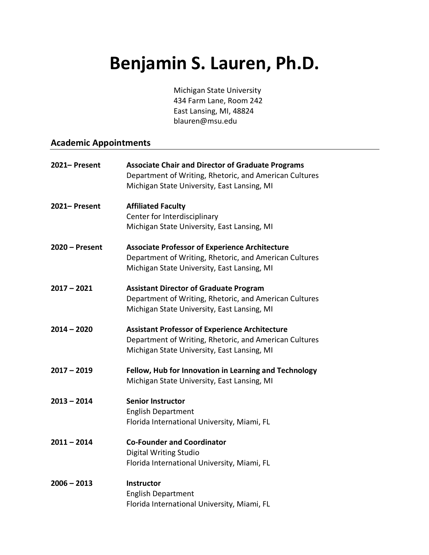# **Benjamin S. Lauren, Ph.D.**

Michigan State University 434 Farm Lane, Room 242 East Lansing, MI, 48824 blauren@msu.edu

## **Academic Appointments**

| 2021-Present     | <b>Associate Chair and Director of Graduate Programs</b><br>Department of Writing, Rhetoric, and American Cultures<br>Michigan State University, East Lansing, MI |
|------------------|-------------------------------------------------------------------------------------------------------------------------------------------------------------------|
| 2021-Present     | <b>Affiliated Faculty</b><br>Center for Interdisciplinary<br>Michigan State University, East Lansing, MI                                                          |
| $2020 -$ Present | <b>Associate Professor of Experience Architecture</b><br>Department of Writing, Rhetoric, and American Cultures<br>Michigan State University, East Lansing, MI    |
| $2017 - 2021$    | <b>Assistant Director of Graduate Program</b><br>Department of Writing, Rhetoric, and American Cultures<br>Michigan State University, East Lansing, MI            |
| $2014 - 2020$    | <b>Assistant Professor of Experience Architecture</b><br>Department of Writing, Rhetoric, and American Cultures<br>Michigan State University, East Lansing, MI    |
| $2017 - 2019$    | Fellow, Hub for Innovation in Learning and Technology<br>Michigan State University, East Lansing, MI                                                              |
| $2013 - 2014$    | <b>Senior Instructor</b><br><b>English Department</b><br>Florida International University, Miami, FL                                                              |
| $2011 - 2014$    | <b>Co-Founder and Coordinator</b><br><b>Digital Writing Studio</b><br>Florida International University, Miami, FL                                                 |
| $2006 - 2013$    | <b>Instructor</b><br><b>English Department</b><br>Florida International University, Miami, FL                                                                     |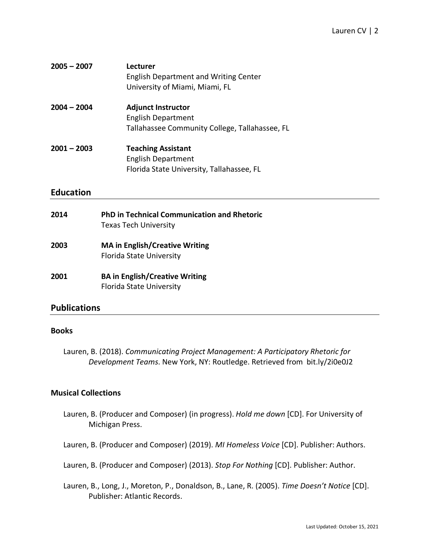| $2005 - 2007$ | Lecturer<br><b>English Department and Writing Center</b><br>University of Miami, Miami, FL               |
|---------------|----------------------------------------------------------------------------------------------------------|
| $2004 - 2004$ | <b>Adjunct Instructor</b><br><b>English Department</b><br>Tallahassee Community College, Tallahassee, FL |
| $2001 - 2003$ | <b>Teaching Assistant</b><br><b>English Department</b><br>Florida State University, Tallahassee, FL      |

## **Education**

| 2014 | <b>PhD in Technical Communication and Rhetoric</b><br><b>Texas Tech University</b> |
|------|------------------------------------------------------------------------------------|
| 2003 | <b>MA in English/Creative Writing</b><br><b>Florida State University</b>           |
| 2001 | <b>BA in English/Creative Writing</b><br>Florida State University                  |

## **Publications**

## **Books**

Lauren, B. (2018). *Communicating Project Management: A Participatory Rhetoric for Development Teams*. New York, NY: Routledge. Retrieved from bit.ly/2i0e0J2

## **Musical Collections**

- Lauren, B. (Producer and Composer) (in progress). *Hold me down* [CD]. For University of Michigan Press.
- Lauren, B. (Producer and Composer) (2019). *MI Homeless Voice* [CD]. Publisher: Authors.
- Lauren, B. (Producer and Composer) (2013). *Stop For Nothing* [CD]. Publisher: Author.
- Lauren, B., Long, J., Moreton, P., Donaldson, B., Lane, R. (2005). *Time Doesn't Notice* [CD]. Publisher: Atlantic Records.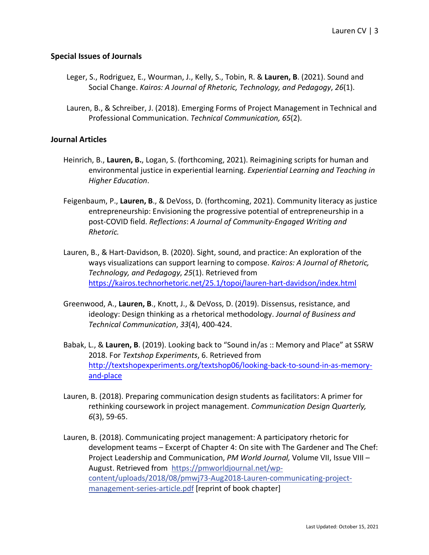#### **Special Issues of Journals**

- Leger, S., Rodriguez, E., Wourman, J., Kelly, S., Tobin, R. & **Lauren, B**. (2021). Sound and Social Change. *Kairos: A Journal of Rhetoric, Technology, and Pedagogy*, *26*(1).
- Lauren, B., & Schreiber, J. (2018). Emerging Forms of Project Management in Technical and Professional Communication. *Technical Communication, 65*(2).

#### **Journal Articles**

- Heinrich, B., **Lauren, B.**, Logan, S. (forthcoming, 2021). Reimagining scripts for human and environmental justice in experiential learning. *Experiential Learning and Teaching in Higher Education*.
- Feigenbaum, P., **Lauren, B**., & DeVoss, D. (forthcoming, 2021). Community literacy as justice entrepreneurship: Envisioning the progressive potential of entrepreneurship in a post-COVID field. *Reflections*: *A Journal of Community-Engaged Writing and Rhetoric.*
- Lauren, B., & Hart-Davidson, B. (2020). Sight, sound, and practice: An exploration of the ways visualizations can support learning to compose. *Kairos: A Journal of Rhetoric, Technology, and Pedagogy*, *25*(1). Retrieved from https://kairos.technorhetoric.net/25.1/topoi/lauren-hart-davidson/index.html
- Greenwood, A., **Lauren, B**., Knott, J., & DeVoss, D. (2019). Dissensus, resistance, and ideology: Design thinking as a rhetorical methodology. *Journal of Business and Technical Communication*, *33*(4), 400-424.
- Babak, L., & **Lauren, B**. (2019). Looking back to "Sound in/as :: Memory and Place" at SSRW 2018. For *Textshop Experiments*, 6. Retrieved from http://textshopexperiments.org/textshop06/looking-back-to-sound-in-as-memoryand-place
- Lauren, B. (2018). Preparing communication design students as facilitators: A primer for rethinking coursework in project management. *Communication Design Quarterly, 6*(3), 59-65.
- Lauren, B. (2018). Communicating project management: A participatory rhetoric for development teams – Excerpt of Chapter 4: On site with The Gardener and The Chef: Project Leadership and Communication, *PM World Journal,* Volume VII, Issue VIII – August. Retrieved from https://pmworldjournal.net/wpcontent/uploads/2018/08/pmwj73-Aug2018-Lauren-communicating-projectmanagement-series-article.pdf [reprint of book chapter]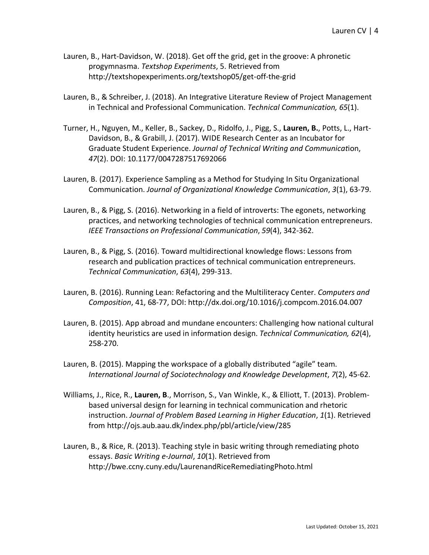- Lauren, B., Hart-Davidson, W. (2018). Get off the grid, get in the groove: A phronetic progymnasma. *Textshop Experiments*, 5. Retrieved from http://textshopexperiments.org/textshop05/get-off-the-grid
- Lauren, B., & Schreiber, J. (2018). An Integrative Literature Review of Project Management in Technical and Professional Communication. *Technical Communication, 65*(1).
- Turner, H., Nguyen, M., Keller, B., Sackey, D., Ridolfo, J., Pigg, S., **Lauren, B.**, Potts, L., Hart-Davidson, B., & Grabill, J. (2017). WIDE Research Center as an Incubator for Graduate Student Experience. *Journal of Technical Writing and Communicat*ion, *47*(2). DOI: 10.1177/0047287517692066
- Lauren, B. (2017). Experience Sampling as a Method for Studying In Situ Organizational Communication. *Journal of Organizational Knowledge Communication*, *3*(1), 63-79.
- Lauren, B., & Pigg, S. (2016). Networking in a field of introverts: The egonets, networking practices, and networking technologies of technical communication entrepreneurs. *IEEE Transactions on Professional Communication*, *59*(4), 342-362.
- Lauren, B., & Pigg, S. (2016). Toward multidirectional knowledge flows: Lessons from research and publication practices of technical communication entrepreneurs. *Technical Communication*, *63*(4), 299-313.
- Lauren, B. (2016). Running Lean: Refactoring and the Multiliteracy Center. *Computers and Composition*, 41, 68-77, DOI: http://dx.doi.org/10.1016/j.compcom.2016.04.007
- Lauren, B. (2015). App abroad and mundane encounters: Challenging how national cultural identity heuristics are used in information design. *Technical Communication, 62*(4), 258-270.
- Lauren, B. (2015). Mapping the workspace of a globally distributed "agile" team. *International Journal of Sociotechnology and Knowledge Development*, *7*(2), 45-62.
- Williams, J., Rice, R., **Lauren, B**., Morrison, S., Van Winkle, K., & Elliott, T. (2013). Problembased universal design for learning in technical communication and rhetoric instruction. *Journal of Problem Based Learning in Higher Education*, *1*(1). Retrieved from http://ojs.aub.aau.dk/index.php/pbl/article/view/285
- Lauren, B., & Rice, R. (2013). Teaching style in basic writing through remediating photo essays. *Basic Writing e-Journal*, *10*(1). Retrieved from http://bwe.ccny.cuny.edu/LaurenandRiceRemediatingPhoto.html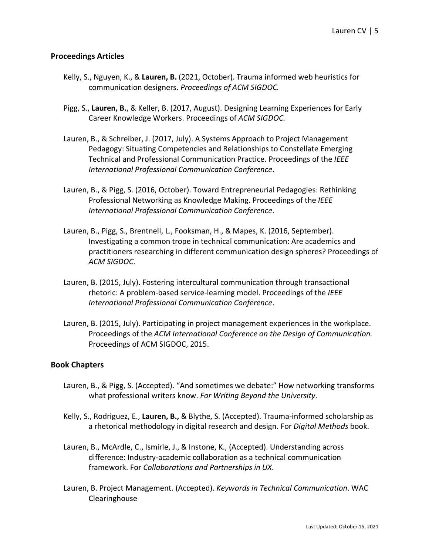#### **Proceedings Articles**

- Kelly, S., Nguyen, K., & **Lauren, B.** (2021, October). Trauma informed web heuristics for communication designers. *Proceedings of ACM SIGDOC.*
- Pigg, S., **Lauren, B.**, & Keller, B. (2017, August). Designing Learning Experiences for Early Career Knowledge Workers. Proceedings of *ACM SIGDOC*.
- Lauren, B., & Schreiber, J. (2017, July). A Systems Approach to Project Management Pedagogy: Situating Competencies and Relationships to Constellate Emerging Technical and Professional Communication Practice. Proceedings of the *IEEE International Professional Communication Conference*.
- Lauren, B., & Pigg, S. (2016, October). Toward Entrepreneurial Pedagogies: Rethinking Professional Networking as Knowledge Making. Proceedings of the *IEEE International Professional Communication Conference*.
- Lauren, B., Pigg, S., Brentnell, L., Fooksman, H., & Mapes, K. (2016, September). Investigating a common trope in technical communication: Are academics and practitioners researching in different communication design spheres? Proceedings of *ACM SIGDOC*.
- Lauren, B. (2015, July). Fostering intercultural communication through transactional rhetoric: A problem-based service-learning model. Proceedings of the *IEEE International Professional Communication Conference*.
- Lauren, B. (2015, July). Participating in project management experiences in the workplace. Proceedings of the *ACM International Conference on the Design of Communication.*  Proceedings of ACM SIGDOC, 2015.

#### **Book Chapters**

- Lauren, B., & Pigg, S. (Accepted). "And sometimes we debate:" How networking transforms what professional writers know. *For Writing Beyond the University*.
- Kelly, S., Rodriguez, E., **Lauren, B.,** & Blythe, S. (Accepted). Trauma-informed scholarship as a rhetorical methodology in digital research and design. For *Digital Methods* book.
- Lauren, B., McArdle, C., Ismirle, J., & Instone, K., (Accepted). Understanding across difference: Industry-academic collaboration as a technical communication framework. For *Collaborations and Partnerships in UX*.
- Lauren, B. Project Management. (Accepted). *Keywords in Technical Communication*. WAC Clearinghouse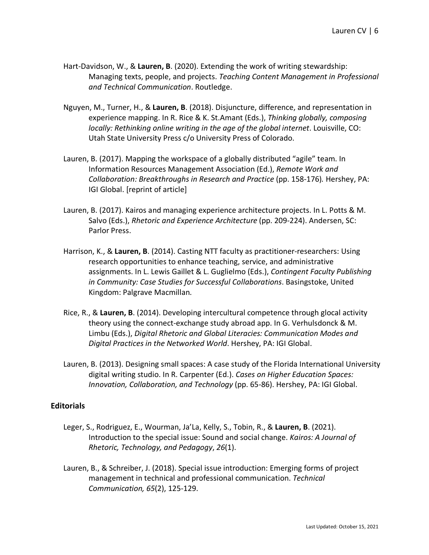- Hart-Davidson, W., & **Lauren, B**. (2020). Extending the work of writing stewardship: Managing texts, people, and projects. *Teaching Content Management in Professional and Technical Communication*. Routledge.
- Nguyen, M., Turner, H., & **Lauren, B**. (2018). Disjuncture, difference, and representation in experience mapping. In R. Rice & K. St.Amant (Eds.), *Thinking globally, composing locally: Rethinking online writing in the age of the global internet*. Louisville, CO: Utah State University Press c/o University Press of Colorado.
- Lauren, B. (2017). Mapping the workspace of a globally distributed "agile" team. In Information Resources Management Association (Ed.), *Remote Work and Collaboration: Breakthroughs in Research and Practice* (pp. 158-176)*.* Hershey, PA: IGI Global. [reprint of article]
- Lauren, B. (2017). Kairos and managing experience architecture projects. In L. Potts & M. Salvo (Eds.), *Rhetoric and Experience Architecture* (pp. 209-224). Andersen, SC: Parlor Press.
- Harrison, K., & **Lauren, B**. (2014). Casting NTT faculty as practitioner-researchers: Using research opportunities to enhance teaching, service, and administrative assignments. In L. Lewis Gaillet & L. Guglielmo (Eds.), *Contingent Faculty Publishing in Community: Case Studies for Successful Collaborations*. Basingstoke, United Kingdom: Palgrave Macmillan.
- Rice, R., & **Lauren, B**. (2014). Developing intercultural competence through glocal activity theory using the connect-exchange study abroad app. In G. Verhulsdonck & M. Limbu (Eds.), *Digital Rhetoric and Global Literacies: Communication Modes and Digital Practices in the Networked World*. Hershey, PA: IGI Global.
- Lauren, B. (2013). Designing small spaces: A case study of the Florida International University digital writing studio. In R. Carpenter (Ed.). *Cases on Higher Education Spaces: Innovation, Collaboration, and Technology* (pp. 65-86). Hershey, PA: IGI Global.

#### **Editorials**

- Leger, S., Rodriguez, E., Wourman, Ja'La, Kelly, S., Tobin, R., & **Lauren, B**. (2021). Introduction to the special issue: Sound and social change. *Kairos: A Journal of Rhetoric, Technology, and Pedagogy*, *26*(1).
- Lauren, B., & Schreiber, J. (2018). Special issue introduction: Emerging forms of project management in technical and professional communication. *Technical Communication, 65*(2), 125-129.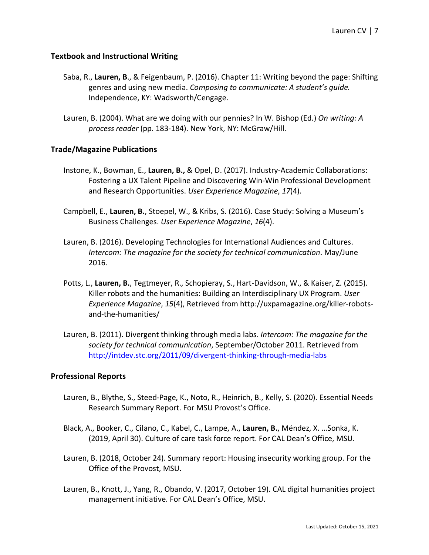#### **Textbook and Instructional Writing**

- Saba, R., **Lauren, B**., & Feigenbaum, P. (2016). Chapter 11: Writing beyond the page: Shifting genres and using new media. *Composing to communicate: A student's guide.*  Independence, KY: Wadsworth/Cengage.
- Lauren, B. (2004). What are we doing with our pennies? In W. Bishop (Ed.) *On writing: A process reader* (pp. 183-184). New York, NY: McGraw/Hill.

#### **Trade/Magazine Publications**

- Instone, K., Bowman, E., **Lauren, B.,** & Opel, D. (2017). Industry-Academic Collaborations: Fostering a UX Talent Pipeline and Discovering Win-Win Professional Development and Research Opportunities. *User Experience Magazine*, *17*(4).
- Campbell, E., **Lauren, B.**, Stoepel, W., & Kribs, S. (2016). Case Study: Solving a Museum's Business Challenges. *User Experience Magazine*, *16*(4).
- Lauren, B. (2016). Developing Technologies for International Audiences and Cultures. *Intercom: The magazine for the society for technical communication*. May/June 2016.
- Potts, L., **Lauren, B.**, Tegtmeyer, R., Schopieray, S., Hart-Davidson, W., & Kaiser, Z. (2015). Killer robots and the humanities: Building an Interdisciplinary UX Program. *User Experience Magazine*, *15*(4), Retrieved from http://uxpamagazine.org/killer-robotsand-the-humanities/
- Lauren, B. (2011). Divergent thinking through media labs. *Intercom: The magazine for the society for technical communication*, September/October 2011. Retrieved from http://intdev.stc.org/2011/09/divergent-thinking-through-media-labs

#### **Professional Reports**

- Lauren, B., Blythe, S., Steed-Page, K., Noto, R., Heinrich, B., Kelly, S. (2020). Essential Needs Research Summary Report. For MSU Provost's Office.
- Black, A., Booker, C., Cilano, C., Kabel, C., Lampe, A., **Lauren, B.**, Méndez, X. …Sonka, K. (2019, April 30). Culture of care task force report. For CAL Dean's Office, MSU.
- Lauren, B. (2018, October 24). Summary report: Housing insecurity working group. For the Office of the Provost, MSU.
- Lauren, B., Knott, J., Yang, R., Obando, V. (2017, October 19). CAL digital humanities project management initiative. For CAL Dean's Office, MSU.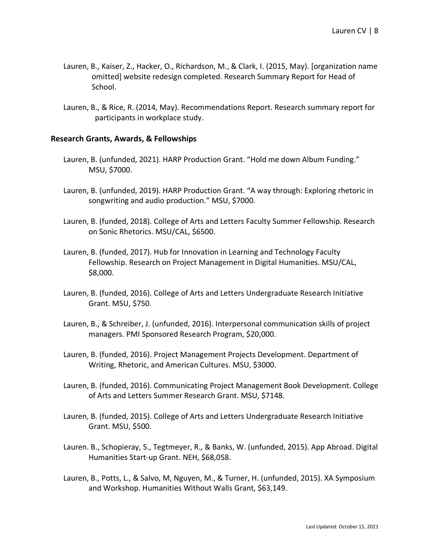- Lauren, B., Kaiser, Z., Hacker, O., Richardson, M., & Clark, I. (2015, May). [organization name omitted] website redesign completed. Research Summary Report for Head of School.
- Lauren, B., & Rice, R. (2014, May). Recommendations Report. Research summary report for participants in workplace study.

#### **Research Grants, Awards, & Fellowships**

- Lauren, B. (unfunded, 2021). HARP Production Grant. "Hold me down Album Funding." MSU, \$7000.
- Lauren, B. (unfunded, 2019). HARP Production Grant. "A way through: Exploring rhetoric in songwriting and audio production." MSU, \$7000.
- Lauren, B. (funded, 2018). College of Arts and Letters Faculty Summer Fellowship. Research on Sonic Rhetorics. MSU/CAL, \$6500.
- Lauren, B. (funded, 2017). Hub for Innovation in Learning and Technology Faculty Fellowship. Research on Project Management in Digital Humanities. MSU/CAL, \$8,000.
- Lauren, B. (funded, 2016). College of Arts and Letters Undergraduate Research Initiative Grant. MSU, \$750.
- Lauren, B., & Schreiber, J. (unfunded, 2016). Interpersonal communication skills of project managers. PMI Sponsored Research Program, \$20,000.
- Lauren, B. (funded, 2016). Project Management Projects Development. Department of Writing, Rhetoric, and American Cultures. MSU, \$3000.
- Lauren, B. (funded, 2016). Communicating Project Management Book Development. College of Arts and Letters Summer Research Grant. MSU, \$7148.
- Lauren, B. (funded, 2015). College of Arts and Letters Undergraduate Research Initiative Grant. MSU, \$500.
- Lauren. B., Schopieray, S., Tegtmeyer, R., & Banks, W. (unfunded, 2015). App Abroad. Digital Humanities Start-up Grant. NEH, \$68,058.
- Lauren, B., Potts, L., & Salvo, M, Nguyen, M., & Turner, H. (unfunded, 2015). XA Symposium and Workshop. Humanities Without Walls Grant, \$63,149.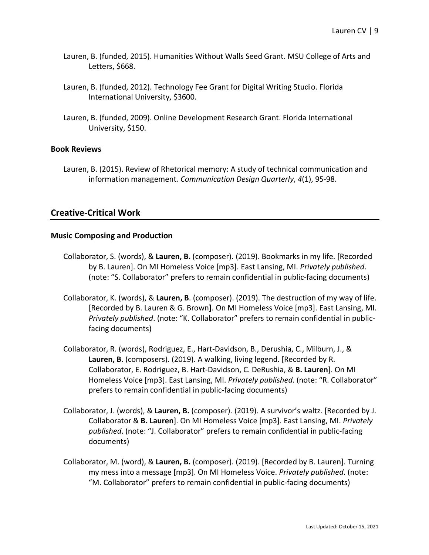- Lauren, B. (funded, 2015). Humanities Without Walls Seed Grant. MSU College of Arts and Letters, \$668.
- Lauren, B. (funded, 2012). Technology Fee Grant for Digital Writing Studio. Florida International University, \$3600.
- Lauren, B. (funded, 2009). Online Development Research Grant. Florida International University, \$150.

#### **Book Reviews**

Lauren, B. (2015). Review of Rhetorical memory: A study of technical communication and information management*. Communication Design Quarterly*, *4*(1), 95-98.

## **Creative-Critical Work**

#### **Music Composing and Production**

- Collaborator, S. (words), & **Lauren, B.** (composer). (2019). Bookmarks in my life. [Recorded by B. Lauren]. On MI Homeless Voice [mp3]. East Lansing, MI. *Privately published*. (note: "S. Collaborator" prefers to remain confidential in public-facing documents)
- Collaborator, K. (words), & **Lauren, B**. (composer). (2019). The destruction of my way of life. [Recorded by B. Lauren & G. Brown**]**. On MI Homeless Voice [mp3]. East Lansing, MI. *Privately published*. (note: "K. Collaborator" prefers to remain confidential in publicfacing documents)
- Collaborator, R. (words), Rodriguez, E., Hart-Davidson, B., Derushia, C., Milburn, J., & **Lauren, B**. (composers). (2019). A walking, living legend. [Recorded by R. Collaborator, E. Rodriguez, B. Hart-Davidson, C. DeRushia, & **B. Lauren**]. On MI Homeless Voice [mp3]. East Lansing, MI. *Privately published*. (note: "R. Collaborator" prefers to remain confidential in public-facing documents)
- Collaborator, J. (words), & **Lauren, B.** (composer). (2019). A survivor's waltz. [Recorded by J. Collaborator & **B. Lauren**]. On MI Homeless Voice [mp3]. East Lansing, MI. *Privately published*. (note: "J. Collaborator" prefers to remain confidential in public-facing documents)
- Collaborator, M. (word), & **Lauren, B.** (composer). (2019). [Recorded by B. Lauren]. Turning my mess into a message [mp3]. On MI Homeless Voice. *Privately published*. (note: "M. Collaborator" prefers to remain confidential in public-facing documents)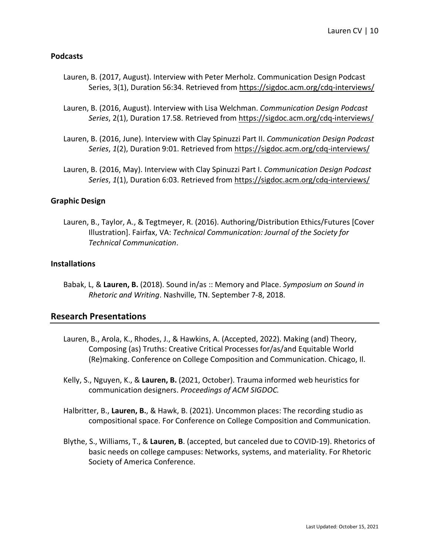#### **Podcasts**

- Lauren, B. (2017, August). Interview with Peter Merholz. Communication Design Podcast Series, 3(1), Duration 56:34. Retrieved from https://sigdoc.acm.org/cdq-interviews/
- Lauren, B. (2016, August). Interview with Lisa Welchman. *Communication Design Podcast Series*, 2(1), Duration 17.58. Retrieved from https://sigdoc.acm.org/cdq-interviews/
- Lauren, B. (2016, June). Interview with Clay Spinuzzi Part II. *Communication Design Podcast Series*, *1*(2), Duration 9:01. Retrieved from https://sigdoc.acm.org/cdq-interviews/
- Lauren, B. (2016, May). Interview with Clay Spinuzzi Part I. *Communication Design Podcast Series*, *1*(1), Duration 6:03. Retrieved from https://sigdoc.acm.org/cdq-interviews/

## **Graphic Design**

Lauren, B., Taylor, A., & Tegtmeyer, R. (2016). Authoring/Distribution Ethics/Futures [Cover Illustration]. Fairfax, VA: *Technical Communication: Journal of the Society for Technical Communication*.

#### **Installations**

Babak, L, & **Lauren, B.** (2018). Sound in/as :: Memory and Place. *Symposium on Sound in Rhetoric and Writing*. Nashville, TN. September 7-8, 2018.

## **Research Presentations**

- Lauren, B., Arola, K., Rhodes, J., & Hawkins, A. (Accepted, 2022). Making (and) Theory, Composing (as) Truths: Creative Critical Processes for/as/and Equitable World (Re)making. Conference on College Composition and Communication. Chicago, Il.
- Kelly, S., Nguyen, K., & **Lauren, B.** (2021, October). Trauma informed web heuristics for communication designers. *Proceedings of ACM SIGDOC.*
- Halbritter, B., **Lauren, B.**, & Hawk, B. (2021). Uncommon places: The recording studio as compositional space. For Conference on College Composition and Communication.
- Blythe, S., Williams, T., & **Lauren, B**. (accepted, but canceled due to COVID-19). Rhetorics of basic needs on college campuses: Networks, systems, and materiality. For Rhetoric Society of America Conference.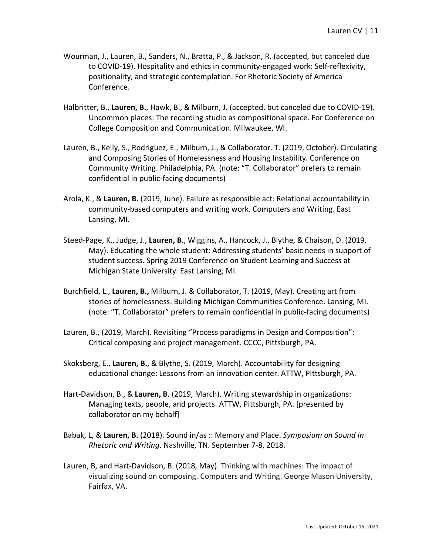- Wourman, J., Lauren, B., Sanders, N., Bratta, P., & Jackson, R. (accepted, but canceled due to COVID-19). Hospitality and ethics in community-engaged work: Self-reflexivity, positionality, and strategic contemplation. For Rhetoric Society of America Conference.
- Halbritter, B., **Lauren, B.**, Hawk, B., & Milburn, J. (accepted, but canceled due to COVID-19). Uncommon places: The recording studio as compositional space. For Conference on College Composition and Communication. Milwaukee, WI.
- Lauren, B., Kelly, S., Rodriguez, E., Milburn, J., & Collaborator. T. (2019, October). Circulating and Composing Stories of Homelessness and Housing Instability. Conference on Community Writing. Philadelphia, PA. (note: "T. Collaborator" prefers to remain confidential in public-facing documents)
- Arola, K., & **Lauren, B.** (2019, June). Failure as responsible act: Relational accountability in community-based computers and writing work. Computers and Writing. East Lansing, MI.
- Steed-Page, K., Judge, J., **Lauren, B**., Wiggins, A., Hancock, J., Blythe, & Chaison, D. (2019, May). Educating the whole student: Addressing students' basic needs in support of student success. Spring 2019 Conference on Student Learning and Success at Michigan State University. East Lansing, MI.
- Burchfield, L., **Lauren, B.,** Milburn, J. & Collaborator, T. (2019, May). Creating art from stories of homelessness. Building Michigan Communities Conference. Lansing, MI. (note: "T. Collaborator" prefers to remain confidential in public-facing documents)
- Lauren, B., (2019, March). Revisiting "Process paradigms in Design and Composition": Critical composing and project management. CCCC, Pittsburgh, PA.
- Skoksberg, E., **Lauren, B.,** & Blythe, S. (2019, March). Accountability for designing educational change: Lessons from an innovation center. ATTW, Pittsburgh, PA.
- Hart-Davidson, B., & **Lauren, B**. (2019, March). Writing stewardship in organizations: Managing texts, people, and projects. ATTW, Pittsburgh, PA. [presented by collaborator on my behalf]
- Babak, L, & **Lauren, B.** (2018). Sound in/as :: Memory and Place. *Symposium on Sound in Rhetoric and Writing*. Nashville, TN. September 7-8, 2018.
- Lauren, B, and Hart-Davidson, B. (2018, May). Thinking with machines: The impact of visualizing sound on composing. Computers and Writing. George Mason University, Fairfax, VA.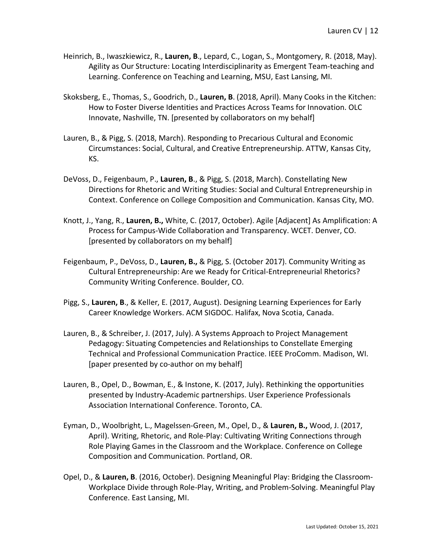- Heinrich, B., Iwaszkiewicz, R., **Lauren, B**., Lepard, C., Logan, S., Montgomery, R. (2018, May). Agility as Our Structure: Locating Interdisciplinarity as Emergent Team-teaching and Learning. Conference on Teaching and Learning, MSU, East Lansing, MI.
- Skoksberg, E., Thomas, S., Goodrich, D., **Lauren, B**. (2018, April). Many Cooks in the Kitchen: How to Foster Diverse Identities and Practices Across Teams for Innovation. OLC Innovate, Nashville, TN. [presented by collaborators on my behalf]
- Lauren, B., & Pigg, S. (2018, March). Responding to Precarious Cultural and Economic Circumstances: Social, Cultural, and Creative Entrepreneurship. ATTW, Kansas City, KS.
- DeVoss, D., Feigenbaum, P., **Lauren, B**., & Pigg, S. (2018, March). Constellating New Directions for Rhetoric and Writing Studies: Social and Cultural Entrepreneurship in Context. Conference on College Composition and Communication. Kansas City, MO.
- Knott, J., Yang, R., **Lauren, B.,** White, C. (2017, October). Agile [Adjacent] As Amplification: A Process for Campus-Wide Collaboration and Transparency. WCET. Denver, CO. [presented by collaborators on my behalf]
- Feigenbaum, P., DeVoss, D., **Lauren, B.,** & Pigg, S. (October 2017). Community Writing as Cultural Entrepreneurship: Are we Ready for Critical-Entrepreneurial Rhetorics? Community Writing Conference. Boulder, CO.
- Pigg, S., **Lauren, B**., & Keller, E. (2017, August). Designing Learning Experiences for Early Career Knowledge Workers. ACM SIGDOC. Halifax, Nova Scotia, Canada.
- Lauren, B., & Schreiber, J. (2017, July). A Systems Approach to Project Management Pedagogy: Situating Competencies and Relationships to Constellate Emerging Technical and Professional Communication Practice. IEEE ProComm. Madison, WI. [paper presented by co-author on my behalf]
- Lauren, B., Opel, D., Bowman, E., & Instone, K. (2017, July). Rethinking the opportunities presented by Industry-Academic partnerships. User Experience Professionals Association International Conference. Toronto, CA.
- Eyman, D., Woolbright, L., Magelssen-Green, M., Opel, D., & **Lauren, B.,** Wood, J. (2017, April). Writing, Rhetoric, and Role-Play: Cultivating Writing Connections through Role Playing Games in the Classroom and the Workplace. Conference on College Composition and Communication. Portland, OR.
- Opel, D., & **Lauren, B**. (2016, October). Designing Meaningful Play: Bridging the Classroom-Workplace Divide through Role-Play, Writing, and Problem-Solving. Meaningful Play Conference. East Lansing, MI.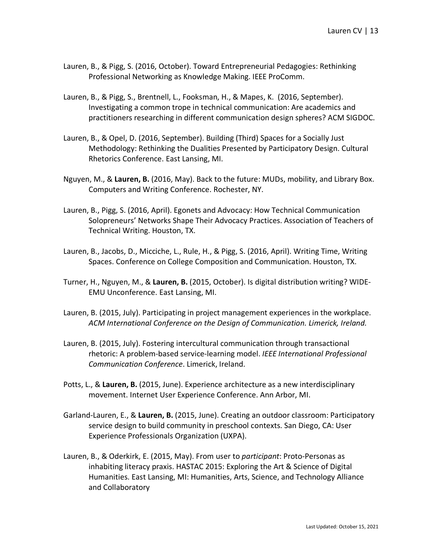- Lauren, B., & Pigg, S. (2016, October). Toward Entrepreneurial Pedagogies: Rethinking Professional Networking as Knowledge Making. IEEE ProComm.
- Lauren, B., & Pigg, S., Brentnell, L., Fooksman, H., & Mapes, K. (2016, September). Investigating a common trope in technical communication: Are academics and practitioners researching in different communication design spheres? ACM SIGDOC.
- Lauren, B., & Opel, D. (2016, September). Building (Third) Spaces for a Socially Just Methodology: Rethinking the Dualities Presented by Participatory Design. Cultural Rhetorics Conference. East Lansing, MI.
- Nguyen, M., & **Lauren, B.** (2016, May). Back to the future: MUDs, mobility, and Library Box. Computers and Writing Conference. Rochester, NY.
- Lauren, B., Pigg, S. (2016, April). Egonets and Advocacy: How Technical Communication Solopreneurs' Networks Shape Their Advocacy Practices. Association of Teachers of Technical Writing. Houston, TX.
- Lauren, B., Jacobs, D., Micciche, L., Rule, H., & Pigg, S. (2016, April). Writing Time, Writing Spaces. Conference on College Composition and Communication. Houston, TX.
- Turner, H., Nguyen, M., & **Lauren, B.** (2015, October). Is digital distribution writing? WIDE-EMU Unconference. East Lansing, MI.
- Lauren, B. (2015, July). Participating in project management experiences in the workplace. *ACM International Conference on the Design of Communication. Limerick, Ireland.*
- Lauren, B. (2015, July). Fostering intercultural communication through transactional rhetoric: A problem-based service-learning model. *IEEE International Professional Communication Conference*. Limerick, Ireland.
- Potts, L., & **Lauren, B.** (2015, June). Experience architecture as a new interdisciplinary movement. Internet User Experience Conference. Ann Arbor, MI.
- Garland-Lauren, E., & **Lauren, B.** (2015, June). Creating an outdoor classroom: Participatory service design to build community in preschool contexts. San Diego, CA: User Experience Professionals Organization (UXPA).
- Lauren, B., & Oderkirk, E. (2015, May). From user to *participant*: Proto-Personas as inhabiting literacy praxis. HASTAC 2015: Exploring the Art & Science of Digital Humanities. East Lansing, MI: Humanities, Arts, Science, and Technology Alliance and Collaboratory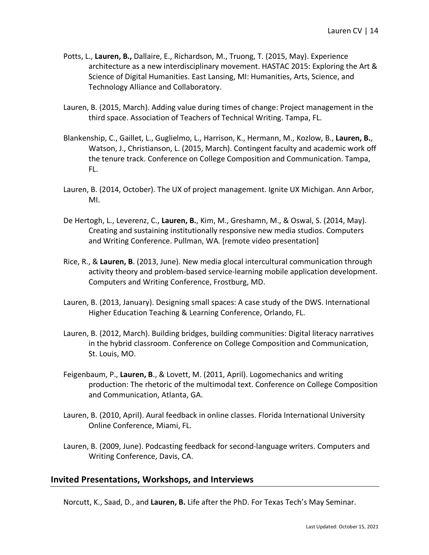- Potts, L., **Lauren, B.,** Dallaire, E., Richardson, M., Truong, T. (2015, May). Experience architecture as a new interdisciplinary movement. HASTAC 2015: Exploring the Art & Science of Digital Humanities. East Lansing, MI: Humanities, Arts, Science, and Technology Alliance and Collaboratory.
- Lauren, B. (2015, March). Adding value during times of change: Project management in the third space. Association of Teachers of Technical Writing. Tampa, FL.
- Blankenship, C., Gaillet, L., Guglielmo, L., Harrison, K., Hermann, M., Kozlow, B., **Lauren, B.**, Watson, J., Christianson, L. (2015, March). Contingent faculty and academic work off the tenure track. Conference on College Composition and Communication. Tampa, FL.
- Lauren, B. (2014, October). The UX of project management. Ignite UX Michigan. Ann Arbor, MI.
- De Hertogh, L., Leverenz, C., **Lauren, B.**, Kim, M., Greshamn, M., & Oswal, S. (2014, May). Creating and sustaining institutionally responsive new media studios. Computers and Writing Conference. Pullman, WA. [remote video presentation]
- Rice, R., & **Lauren, B**. (2013, June). New media glocal intercultural communication through activity theory and problem-based service-learning mobile application development. Computers and Writing Conference, Frostburg, MD.
- Lauren, B. (2013, January). Designing small spaces: A case study of the DWS. International Higher Education Teaching & Learning Conference, Orlando, FL.
- Lauren, B. (2012, March). Building bridges, building communities: Digital literacy narratives in the hybrid classroom. Conference on College Composition and Communication, St. Louis, MO.
- Feigenbaum, P., **Lauren, B**., & Lovett, M. (2011, April). Logomechanics and writing production: The rhetoric of the multimodal text. Conference on College Composition and Communication, Atlanta, GA.
- Lauren, B. (2010, April). Aural feedback in online classes. Florida International University Online Conference, Miami, FL.
- Lauren, B. (2009, June). Podcasting feedback for second-language writers. Computers and Writing Conference, Davis, CA.

## **Invited Presentations, Workshops, and Interviews**

Norcutt, K., Saad, D., and **Lauren, B.** Life after the PhD. For Texas Tech's May Seminar.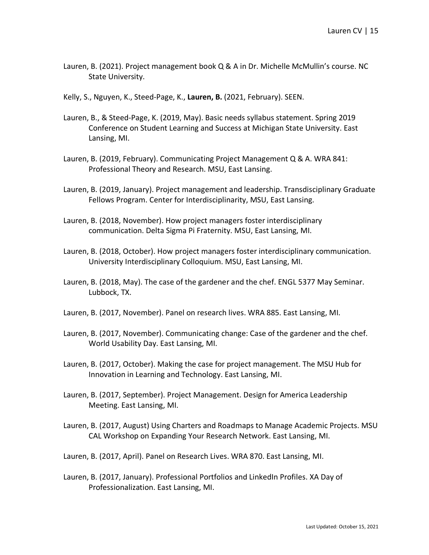- Lauren, B. (2021). Project management book Q & A in Dr. Michelle McMullin's course. NC State University.
- Kelly, S., Nguyen, K., Steed-Page, K., **Lauren, B.** (2021, February). SEEN.
- Lauren, B., & Steed-Page, K. (2019, May). Basic needs syllabus statement. Spring 2019 Conference on Student Learning and Success at Michigan State University. East Lansing, MI.
- Lauren, B. (2019, February). Communicating Project Management Q & A. WRA 841: Professional Theory and Research. MSU, East Lansing.
- Lauren, B. (2019, January). Project management and leadership. Transdisciplinary Graduate Fellows Program. Center for Interdisciplinarity, MSU, East Lansing.
- Lauren, B. (2018, November). How project managers foster interdisciplinary communication. Delta Sigma Pi Fraternity. MSU, East Lansing, MI.
- Lauren, B. (2018, October). How project managers foster interdisciplinary communication. University Interdisciplinary Colloquium. MSU, East Lansing, MI.
- Lauren, B. (2018, May). The case of the gardener and the chef. ENGL 5377 May Seminar. Lubbock, TX.
- Lauren, B. (2017, November). Panel on research lives. WRA 885. East Lansing, MI.
- Lauren, B. (2017, November). Communicating change: Case of the gardener and the chef. World Usability Day. East Lansing, MI.
- Lauren, B. (2017, October). Making the case for project management. The MSU Hub for Innovation in Learning and Technology. East Lansing, MI.
- Lauren, B. (2017, September). Project Management. Design for America Leadership Meeting. East Lansing, MI.
- Lauren, B. (2017, August) Using Charters and Roadmaps to Manage Academic Projects. MSU CAL Workshop on Expanding Your Research Network. East Lansing, MI.
- Lauren, B. (2017, April). Panel on Research Lives. WRA 870. East Lansing, MI.
- Lauren, B. (2017, January). Professional Portfolios and LinkedIn Profiles. XA Day of Professionalization. East Lansing, MI.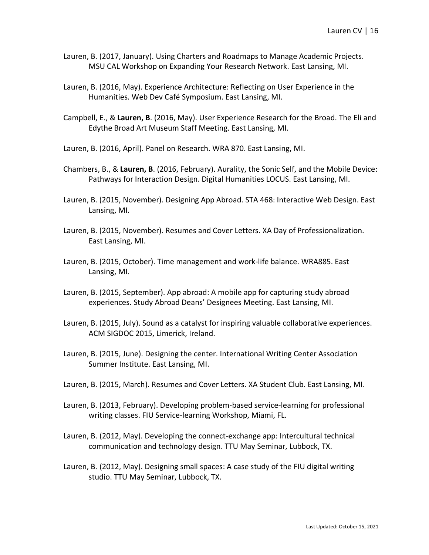- Lauren, B. (2017, January). Using Charters and Roadmaps to Manage Academic Projects. MSU CAL Workshop on Expanding Your Research Network. East Lansing, MI.
- Lauren, B. (2016, May). Experience Architecture: Reflecting on User Experience in the Humanities. Web Dev Café Symposium. East Lansing, MI.
- Campbell, E., & **Lauren, B**. (2016, May). User Experience Research for the Broad. The Eli and Edythe Broad Art Museum Staff Meeting. East Lansing, MI.
- Lauren, B. (2016, April). Panel on Research. WRA 870. East Lansing, MI.
- Chambers, B., & **Lauren, B**. (2016, February). Aurality, the Sonic Self, and the Mobile Device: Pathways for Interaction Design. Digital Humanities LOCUS. East Lansing, MI.
- Lauren, B. (2015, November). Designing App Abroad. STA 468: Interactive Web Design. East Lansing, MI.
- Lauren, B. (2015, November). Resumes and Cover Letters. XA Day of Professionalization. East Lansing, MI.
- Lauren, B. (2015, October). Time management and work-life balance. WRA885. East Lansing, MI.
- Lauren, B. (2015, September). App abroad: A mobile app for capturing study abroad experiences. Study Abroad Deans' Designees Meeting. East Lansing, MI.
- Lauren, B. (2015, July). Sound as a catalyst for inspiring valuable collaborative experiences. ACM SIGDOC 2015, Limerick, Ireland.
- Lauren, B. (2015, June). Designing the center. International Writing Center Association Summer Institute. East Lansing, MI.
- Lauren, B. (2015, March). Resumes and Cover Letters. XA Student Club. East Lansing, MI.
- Lauren, B. (2013, February). Developing problem-based service-learning for professional writing classes. FIU Service-learning Workshop, Miami, FL.
- Lauren, B. (2012, May). Developing the connect-exchange app: Intercultural technical communication and technology design. TTU May Seminar, Lubbock, TX.
- Lauren, B. (2012, May). Designing small spaces: A case study of the FIU digital writing studio. TTU May Seminar, Lubbock, TX.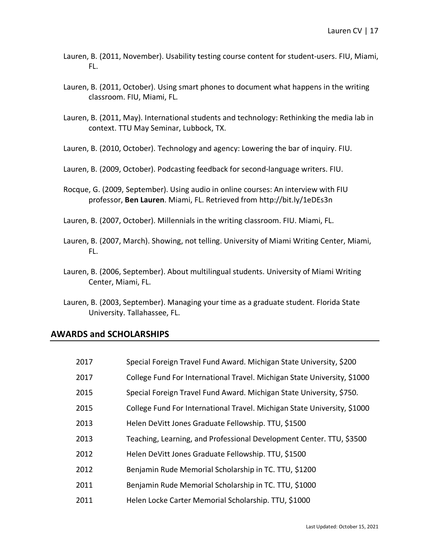- Lauren, B. (2011, November). Usability testing course content for student-users. FIU, Miami, FL.
- Lauren, B. (2011, October). Using smart phones to document what happens in the writing classroom. FIU, Miami, FL.
- Lauren, B. (2011, May). International students and technology: Rethinking the media lab in context. TTU May Seminar, Lubbock, TX.
- Lauren, B. (2010, October). Technology and agency: Lowering the bar of inquiry. FIU.
- Lauren, B. (2009, October). Podcasting feedback for second-language writers. FIU.
- Rocque, G. (2009, September). Using audio in online courses: An interview with FIU professor, **Ben Lauren**. Miami, FL. Retrieved from http://bit.ly/1eDEs3n
- Lauren, B. (2007, October). Millennials in the writing classroom. FIU. Miami, FL.
- Lauren, B. (2007, March). Showing, not telling. University of Miami Writing Center, Miami, FL.
- Lauren, B. (2006, September). About multilingual students. University of Miami Writing Center, Miami, FL.
- Lauren, B. (2003, September). Managing your time as a graduate student. Florida State University. Tallahassee, FL.

#### **AWARDS and SCHOLARSHIPS**

| 2017 | Special Foreign Travel Fund Award. Michigan State University, \$200      |
|------|--------------------------------------------------------------------------|
| 2017 | College Fund For International Travel. Michigan State University, \$1000 |
| 2015 | Special Foreign Travel Fund Award. Michigan State University, \$750.     |
| 2015 | College Fund For International Travel. Michigan State University, \$1000 |
| 2013 | Helen DeVitt Jones Graduate Fellowship. TTU, \$1500                      |
| 2013 | Teaching, Learning, and Professional Development Center. TTU, \$3500     |
| 2012 | Helen DeVitt Jones Graduate Fellowship. TTU, \$1500                      |
| 2012 | Benjamin Rude Memorial Scholarship in TC. TTU, \$1200                    |
| 2011 | Benjamin Rude Memorial Scholarship in TC. TTU, \$1000                    |
| 2011 | Helen Locke Carter Memorial Scholarship. TTU, \$1000                     |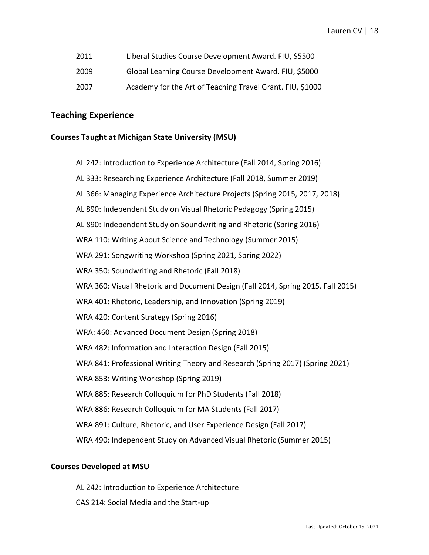- 2011 Liberal Studies Course Development Award. FIU, \$5500
- 2009 Global Learning Course Development Award. FIU, \$5000
- 2007 Academy for the Art of Teaching Travel Grant. FIU, \$1000

## **Teaching Experience**

#### **Courses Taught at Michigan State University (MSU)**

- AL 242: Introduction to Experience Architecture (Fall 2014, Spring 2016)
- AL 333: Researching Experience Architecture (Fall 2018, Summer 2019)
- AL 366: Managing Experience Architecture Projects (Spring 2015, 2017, 2018)
- AL 890: Independent Study on Visual Rhetoric Pedagogy (Spring 2015)
- AL 890: Independent Study on Soundwriting and Rhetoric (Spring 2016)
- WRA 110: Writing About Science and Technology (Summer 2015)
- WRA 291: Songwriting Workshop (Spring 2021, Spring 2022)
- WRA 350: Soundwriting and Rhetoric (Fall 2018)
- WRA 360: Visual Rhetoric and Document Design (Fall 2014, Spring 2015, Fall 2015)
- WRA 401: Rhetoric, Leadership, and Innovation (Spring 2019)
- WRA 420: Content Strategy (Spring 2016)
- WRA: 460: Advanced Document Design (Spring 2018)
- WRA 482: Information and Interaction Design (Fall 2015)
- WRA 841: Professional Writing Theory and Research (Spring 2017) (Spring 2021)
- WRA 853: Writing Workshop (Spring 2019)
- WRA 885: Research Colloquium for PhD Students (Fall 2018)
- WRA 886: Research Colloquium for MA Students (Fall 2017)
- WRA 891: Culture, Rhetoric, and User Experience Design (Fall 2017)
- WRA 490: Independent Study on Advanced Visual Rhetoric (Summer 2015)

#### **Courses Developed at MSU**

- AL 242: Introduction to Experience Architecture
- CAS 214: Social Media and the Start-up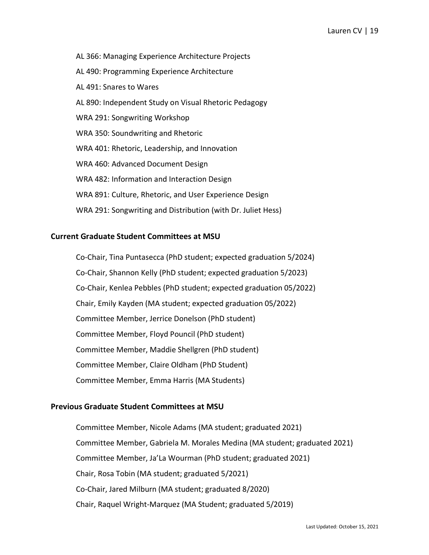- AL 366: Managing Experience Architecture Projects
- AL 490: Programming Experience Architecture
- AL 491: Snares to Wares
- AL 890: Independent Study on Visual Rhetoric Pedagogy
- WRA 291: Songwriting Workshop
- WRA 350: Soundwriting and Rhetoric
- WRA 401: Rhetoric, Leadership, and Innovation
- WRA 460: Advanced Document Design
- WRA 482: Information and Interaction Design
- WRA 891: Culture, Rhetoric, and User Experience Design
- WRA 291: Songwriting and Distribution (with Dr. Juliet Hess)

#### **Current Graduate Student Committees at MSU**

Co-Chair, Tina Puntasecca (PhD student; expected graduation 5/2024) Co-Chair, Shannon Kelly (PhD student; expected graduation 5/2023) Co-Chair, Kenlea Pebbles (PhD student; expected graduation 05/2022) Chair, Emily Kayden (MA student; expected graduation 05/2022) Committee Member, Jerrice Donelson (PhD student) Committee Member, Floyd Pouncil (PhD student) Committee Member, Maddie Shellgren (PhD student) Committee Member, Claire Oldham (PhD Student) Committee Member, Emma Harris (MA Students)

#### **Previous Graduate Student Committees at MSU**

Committee Member, Nicole Adams (MA student; graduated 2021) Committee Member, Gabriela M. Morales Medina (MA student; graduated 2021) Committee Member, Ja'La Wourman (PhD student; graduated 2021) Chair, Rosa Tobin (MA student; graduated 5/2021) Co-Chair, Jared Milburn (MA student; graduated 8/2020) Chair, Raquel Wright-Marquez (MA Student; graduated 5/2019)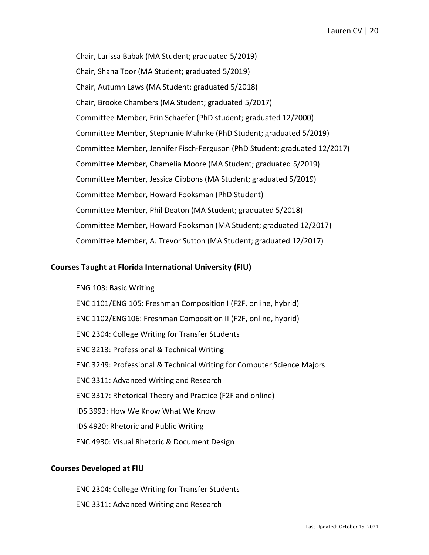Chair, Larissa Babak (MA Student; graduated 5/2019) Chair, Shana Toor (MA Student; graduated 5/2019) Chair, Autumn Laws (MA Student; graduated 5/2018) Chair, Brooke Chambers (MA Student; graduated 5/2017) Committee Member, Erin Schaefer (PhD student; graduated 12/2000) Committee Member, Stephanie Mahnke (PhD Student; graduated 5/2019) Committee Member, Jennifer Fisch-Ferguson (PhD Student; graduated 12/2017) Committee Member, Chamelia Moore (MA Student; graduated 5/2019) Committee Member, Jessica Gibbons (MA Student; graduated 5/2019) Committee Member, Howard Fooksman (PhD Student) Committee Member, Phil Deaton (MA Student; graduated 5/2018) Committee Member, Howard Fooksman (MA Student; graduated 12/2017) Committee Member, A. Trevor Sutton (MA Student; graduated 12/2017)

#### **Courses Taught at Florida International University (FIU)**

ENG 103: Basic Writing ENC 1101/ENG 105: Freshman Composition I (F2F, online, hybrid) ENC 1102/ENG106: Freshman Composition II (F2F, online, hybrid) ENC 2304: College Writing for Transfer Students ENC 3213: Professional & Technical Writing ENC 3249: Professional & Technical Writing for Computer Science Majors ENC 3311: Advanced Writing and Research ENC 3317: Rhetorical Theory and Practice (F2F and online) IDS 3993: How We Know What We Know IDS 4920: Rhetoric and Public Writing ENC 4930: Visual Rhetoric & Document Design

#### **Courses Developed at FIU**

ENC 2304: College Writing for Transfer Students ENC 3311: Advanced Writing and Research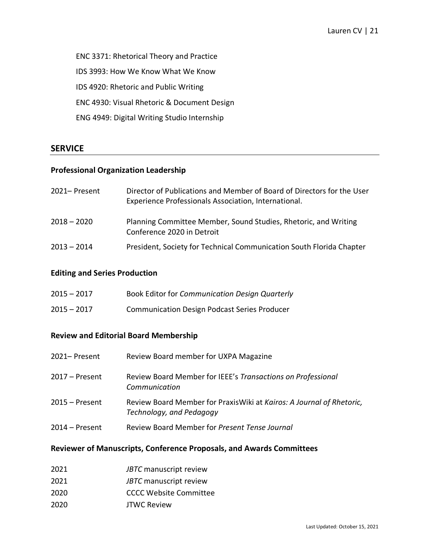ENC 3371: Rhetorical Theory and Practice IDS 3993: How We Know What We Know IDS 4920: Rhetoric and Public Writing ENC 4930: Visual Rhetoric & Document Design ENG 4949: Digital Writing Studio Internship

## **SERVICE**

## **Professional Organization Leadership**

| 2021– Present | Director of Publications and Member of Board of Directors for the User<br>Experience Professionals Association, International. |
|---------------|--------------------------------------------------------------------------------------------------------------------------------|
| $2018 - 2020$ | Planning Committee Member, Sound Studies, Rhetoric, and Writing<br>Conference 2020 in Detroit                                  |
| $2013 - 2014$ | President, Society for Technical Communication South Florida Chapter                                                           |

## **Editing and Series Production**

| $2015 - 2017$ | Book Editor for Communication Design Quarterly      |
|---------------|-----------------------------------------------------|
| $2015 - 2017$ | <b>Communication Design Podcast Series Producer</b> |

## **Review and Editorial Board Membership**

| 2021-Present     | Review Board member for UXPA Magazine                                                             |
|------------------|---------------------------------------------------------------------------------------------------|
| 2017 – Present   | Review Board Member for IEEE's Transactions on Professional<br>Communication                      |
| $2015 -$ Present | Review Board Member for Praxis Wiki at Kairos: A Journal of Rhetoric,<br>Technology, and Pedagogy |
| $2014 -$ Present | Review Board Member for Present Tense Journal                                                     |

## **Reviewer of Manuscripts, Conference Proposals, and Awards Committees**

| 2021 | JBTC manuscript review |
|------|------------------------|
| 2021 | JBTC manuscript review |

- 2020 CCCC Website Committee
- 2020 JTWC Review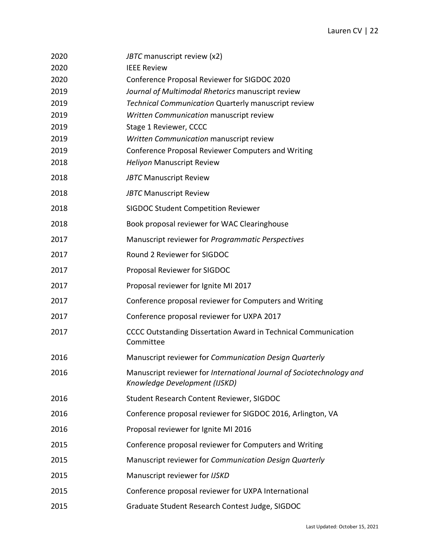| 2020 | JBTC manuscript review (x2)                                                                           |
|------|-------------------------------------------------------------------------------------------------------|
| 2020 | <b>IEEE Review</b>                                                                                    |
| 2020 | Conference Proposal Reviewer for SIGDOC 2020                                                          |
| 2019 | Journal of Multimodal Rhetorics manuscript review                                                     |
| 2019 | <b>Technical Communication Quarterly manuscript review</b>                                            |
| 2019 | Written Communication manuscript review                                                               |
| 2019 | Stage 1 Reviewer, CCCC                                                                                |
| 2019 | Written Communication manuscript review                                                               |
| 2019 | Conference Proposal Reviewer Computers and Writing                                                    |
| 2018 | <b>Heliyon Manuscript Review</b>                                                                      |
| 2018 | <b>JBTC Manuscript Review</b>                                                                         |
| 2018 | <b>JBTC Manuscript Review</b>                                                                         |
| 2018 | <b>SIGDOC Student Competition Reviewer</b>                                                            |
| 2018 | Book proposal reviewer for WAC Clearinghouse                                                          |
| 2017 | Manuscript reviewer for Programmatic Perspectives                                                     |
| 2017 | Round 2 Reviewer for SIGDOC                                                                           |
| 2017 | Proposal Reviewer for SIGDOC                                                                          |
| 2017 | Proposal reviewer for Ignite MI 2017                                                                  |
| 2017 | Conference proposal reviewer for Computers and Writing                                                |
| 2017 | Conference proposal reviewer for UXPA 2017                                                            |
| 2017 | CCCC Outstanding Dissertation Award in Technical Communication<br>Committee                           |
| 2016 | Manuscript reviewer for Communication Design Quarterly                                                |
| 2016 | Manuscript reviewer for International Journal of Sociotechnology and<br>Knowledge Development (IJSKD) |
| 2016 | Student Research Content Reviewer, SIGDOC                                                             |
| 2016 | Conference proposal reviewer for SIGDOC 2016, Arlington, VA                                           |
| 2016 | Proposal reviewer for Ignite MI 2016                                                                  |
| 2015 | Conference proposal reviewer for Computers and Writing                                                |
| 2015 | Manuscript reviewer for Communication Design Quarterly                                                |
| 2015 | Manuscript reviewer for IJSKD                                                                         |
| 2015 | Conference proposal reviewer for UXPA International                                                   |
| 2015 | Graduate Student Research Contest Judge, SIGDOC                                                       |
|      |                                                                                                       |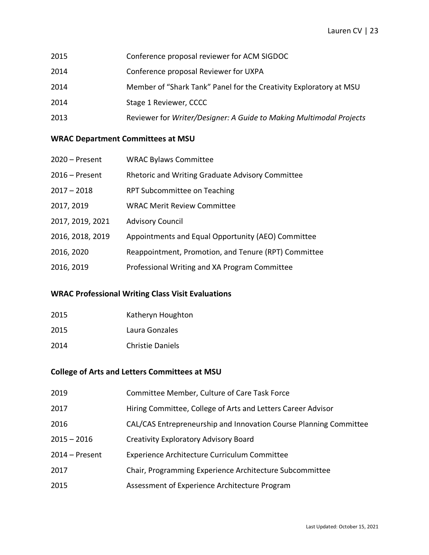- 2015 Conference proposal reviewer for ACM SIGDOC
- 2014 Conference proposal Reviewer for UXPA
- 2014 Member of "Shark Tank" Panel for the Creativity Exploratory at MSU
- 2014 Stage 1 Reviewer, CCCC
- 2013 Reviewer for *Writer/Designer: A Guide to Making Multimodal Projects*

## **WRAC Department Committees at MSU**

| $2020 -$ Present | <b>WRAC Bylaws Committee</b>                         |
|------------------|------------------------------------------------------|
| $2016$ – Present | Rhetoric and Writing Graduate Advisory Committee     |
| $2017 - 2018$    | RPT Subcommittee on Teaching                         |
| 2017, 2019       | <b>WRAC Merit Review Committee</b>                   |
| 2017, 2019, 2021 | <b>Advisory Council</b>                              |
| 2016, 2018, 2019 | Appointments and Equal Opportunity (AEO) Committee   |
| 2016, 2020       | Reappointment, Promotion, and Tenure (RPT) Committee |
| 2016, 2019       | Professional Writing and XA Program Committee        |

## **WRAC Professional Writing Class Visit Evaluations**

| 2015 | Katheryn Houghton       |
|------|-------------------------|
| 2015 | Laura Gonzales          |
| 2014 | <b>Christie Daniels</b> |

## **College of Arts and Letters Committees at MSU**

| 2019           | Committee Member, Culture of Care Task Force                      |
|----------------|-------------------------------------------------------------------|
| 2017           | Hiring Committee, College of Arts and Letters Career Advisor      |
| 2016           | CAL/CAS Entrepreneurship and Innovation Course Planning Committee |
| $2015 - 2016$  | <b>Creativity Exploratory Advisory Board</b>                      |
| 2014 – Present | Experience Architecture Curriculum Committee                      |
| 2017           | Chair, Programming Experience Architecture Subcommittee           |
| 2015           | Assessment of Experience Architecture Program                     |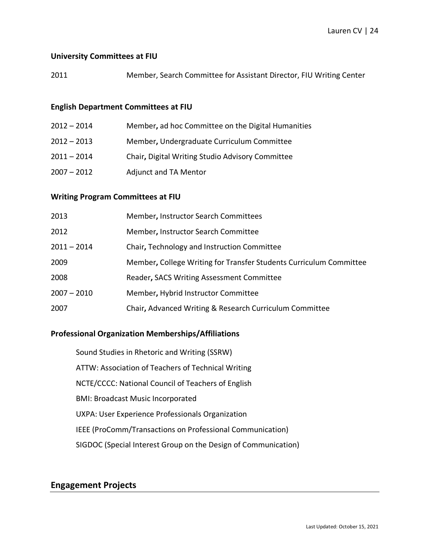#### **University Committees at FIU**

2011 Member, Search Committee for Assistant Director, FIU Writing Center

#### **English Department Committees at FIU**

2012 – 2014 Member**,** ad hoc Committee on the Digital Humanities 2012 – 2013 Member**,** Undergraduate Curriculum Committee 2011 – 2014 Chair**,** Digital Writing Studio Advisory Committee 2007 – 2012 Adjunct and TA Mentor

## **Writing Program Committees at FIU**

| 2013          | Member, Instructor Search Committees                               |
|---------------|--------------------------------------------------------------------|
| 2012          | Member, Instructor Search Committee                                |
| $2011 - 2014$ | Chair, Technology and Instruction Committee                        |
| 2009          | Member, College Writing for Transfer Students Curriculum Committee |
| 2008          | Reader, SACS Writing Assessment Committee                          |
| $2007 - 2010$ | Member, Hybrid Instructor Committee                                |
| 2007          | Chair, Advanced Writing & Research Curriculum Committee            |

## **Professional Organization Memberships/Affiliations**

Sound Studies in Rhetoric and Writing (SSRW) ATTW: Association of Teachers of Technical Writing NCTE/CCCC: National Council of Teachers of English BMI: Broadcast Music Incorporated UXPA: User Experience Professionals Organization IEEE (ProComm/Transactions on Professional Communication) SIGDOC (Special Interest Group on the Design of Communication)

## **Engagement Projects**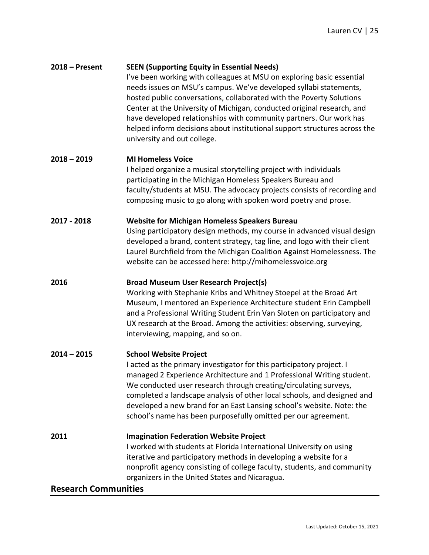## **2018 – Present SEEN (Supporting Equity in Essential Needs)**

I've been working with colleagues at MSU on exploring basic essential needs issues on MSU's campus. We've developed syllabi statements, hosted public conversations, collaborated with the Poverty Solutions Center at the University of Michigan, conducted original research, and have developed relationships with community partners. Our work has helped inform decisions about institutional support structures across the university and out college.

#### **2018 – 2019 MI Homeless Voice**

I helped organize a musical storytelling project with individuals participating in the Michigan Homeless Speakers Bureau and faculty/students at MSU. The advocacy projects consists of recording and composing music to go along with spoken word poetry and prose.

#### **2017 - 2018 Website for Michigan Homeless Speakers Bureau**

Using participatory design methods, my course in advanced visual design developed a brand, content strategy, tag line, and logo with their client Laurel Burchfield from the Michigan Coalition Against Homelessness. The website can be accessed here: http://mihomelessvoice.org

#### **2016 Broad Museum User Research Project(s)**

Working with Stephanie Kribs and Whitney Stoepel at the Broad Art Museum, I mentored an Experience Architecture student Erin Campbell and a Professional Writing Student Erin Van Sloten on participatory and UX research at the Broad. Among the activities: observing, surveying, interviewing, mapping, and so on.

#### **2014 – 2015 School Website Project**

I acted as the primary investigator for this participatory project. I managed 2 Experience Architecture and 1 Professional Writing student. We conducted user research through creating/circulating surveys, completed a landscape analysis of other local schools, and designed and developed a new brand for an East Lansing school's website. Note: the school's name has been purposefully omitted per our agreement.

#### **2011 Imagination Federation Website Project**

I worked with students at Florida International University on using iterative and participatory methods in developing a website for a nonprofit agency consisting of college faculty, students, and community organizers in the United States and Nicaragua.

#### **Research Communities**